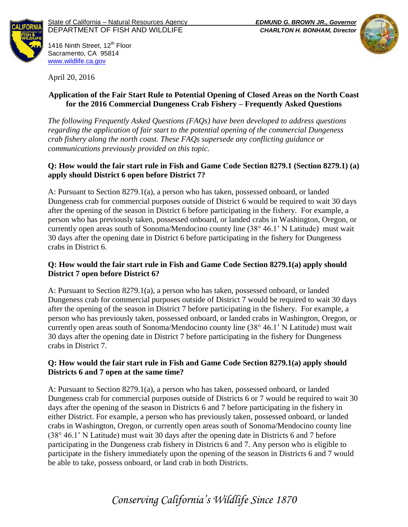



1416 Ninth Street, 12<sup>th</sup> Floor Sacramento, CA 95814 [www.wildlife.ca.gov](http://www.cdfw.ca.gov/)

April 20, 2016

### **Application of the Fair Start Rule to Potential Opening of Closed Areas on the North Coast for the 2016 Commercial Dungeness Crab Fishery – Frequently Asked Questions**

*The following Frequently Asked Questions (FAQs) have been developed to address questions regarding the application of fair start to the potential opening of the commercial Dungeness crab fishery along the north coast. These FAQs supersede any conflicting guidance or communications previously provided on this topic.*

## **Q: How would the fair start rule in Fish and Game Code Section 8279.1 (Section 8279.1) (a) apply should District 6 open before District 7?**

A: Pursuant to Section 8279.1(a), a person who has taken, possessed onboard, or landed Dungeness crab for commercial purposes outside of District 6 would be required to wait 30 days after the opening of the season in District 6 before participating in the fishery. For example, a person who has previously taken, possessed onboard, or landed crabs in Washington, Oregon, or currently open areas south of Sonoma/Mendocino county line (38° 46.1' N Latitude) must wait 30 days after the opening date in District 6 before participating in the fishery for Dungeness crabs in District 6.

## **Q: How would the fair start rule in Fish and Game Code Section 8279.1(a) apply should District 7 open before District 6?**

A: Pursuant to Section 8279.1(a), a person who has taken, possessed onboard, or landed Dungeness crab for commercial purposes outside of District 7 would be required to wait 30 days after the opening of the season in District 7 before participating in the fishery. For example, a person who has previously taken, possessed onboard, or landed crabs in Washington, Oregon, or currently open areas south of Sonoma/Mendocino county line (38° 46.1' N Latitude) must wait 30 days after the opening date in District 7 before participating in the fishery for Dungeness crabs in District 7.

## **Q: How would the fair start rule in Fish and Game Code Section 8279.1(a) apply should Districts 6 and 7 open at the same time?**

A: Pursuant to Section 8279.1(a), a person who has taken, possessed onboard, or landed Dungeness crab for commercial purposes outside of Districts 6 or 7 would be required to wait 30 days after the opening of the season in Districts 6 and 7 before participating in the fishery in either District. For example, a person who has previously taken, possessed onboard, or landed crabs in Washington, Oregon, or currently open areas south of Sonoma/Mendocino county line (38° 46.1' N Latitude) must wait 30 days after the opening date in Districts 6 and 7 before participating in the Dungeness crab fishery in Districts 6 and 7. Any person who is eligible to participate in the fishery immediately upon the opening of the season in Districts 6 and 7 would be able to take, possess onboard, or land crab in both Districts.

# *Conserving California's Wildlife Since 1870*